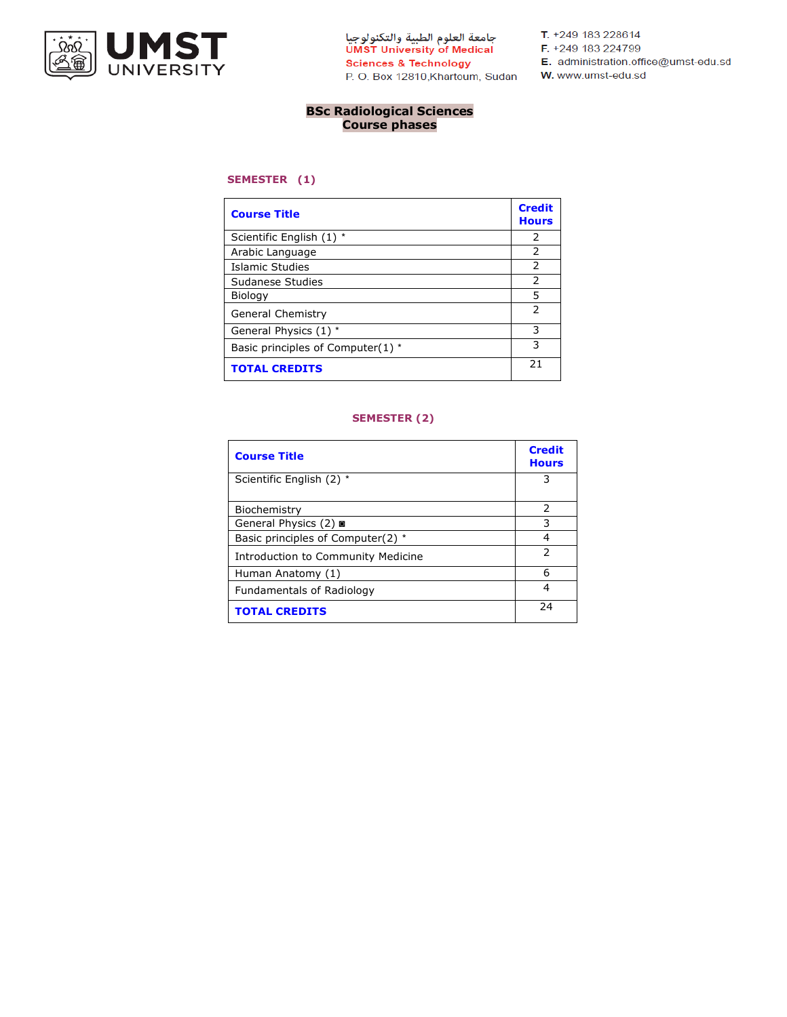

جامعة العلوم الطبية والتكنولوجيا<br>UMST University of Medical **Sciences & Technology** P. O. Box 12810, Khartoum, Sudan W. www.umst-edu.sd

T. +249 183 228614

F. +249 183 224799

- E. administration.office@umst-edu.sd
- 

## **BSc Radiological Sciences Course phases**

#### **SEMESTER (1)**

| <b>Course Title</b>               | <b>Credit</b><br><b>Hours</b> |
|-----------------------------------|-------------------------------|
| Scientific English (1) *          | $\mathcal{P}$                 |
| Arabic Language                   | $\mathcal{P}$                 |
| Islamic Studies                   | 2                             |
| Sudanese Studies                  | $\mathcal{P}$                 |
| Biology                           | 5                             |
| General Chemistry                 | フ                             |
| General Physics (1) *             | 3                             |
| Basic principles of Computer(1) * | 3                             |
| <b>TOTAL CREDITS</b>              | 21                            |

### **SEMESTER (2)**

| <b>Course Title</b>                | <b>Credit</b><br><b>Hours</b> |
|------------------------------------|-------------------------------|
| Scientific English (2) *           | З                             |
| Biochemistry                       | 2                             |
| General Physics (2) a              | 3                             |
| Basic principles of Computer(2) *  | 4                             |
| Introduction to Community Medicine | $\mathcal{P}$                 |
| Human Anatomy (1)                  | 6                             |
| Fundamentals of Radiology          | 4                             |
| <b>TOTAL CREDITS</b>               | 24                            |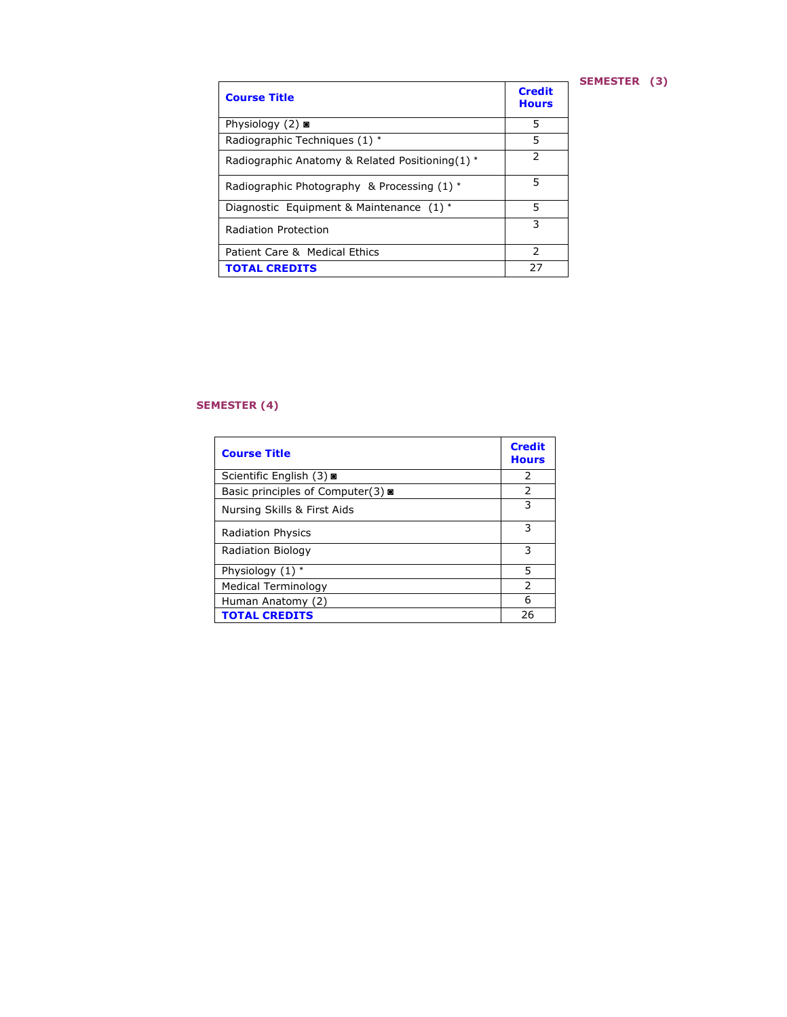## **SEMESTER (3)**

| <b>Course Title</b>                             | <b>Credit</b><br><b>Hours</b> |
|-------------------------------------------------|-------------------------------|
| Physiology $(2)$ or                             | 5                             |
| Radiographic Techniques (1) *                   | 5                             |
| Radiographic Anatomy & Related Positioning(1) * | 2                             |
| Radiographic Photography & Processing (1) *     | 5                             |
| Diagnostic Equipment & Maintenance (1) *        | 5                             |
| Radiation Protection                            | 3                             |
| Patient Care & Medical Ethics                   | $\mathcal{P}$                 |
| <b>TOTAL CREDITS</b>                            | 27                            |

## **SEMESTER (4)**

| <b>Course Title</b>               | <b>Credit</b><br><b>Hours</b> |
|-----------------------------------|-------------------------------|
| Scientific English (3) o          | 2                             |
| Basic principles of Computer(3) ■ | 2                             |
| Nursing Skills & First Aids       | 3                             |
| <b>Radiation Physics</b>          | 3                             |
| Radiation Biology                 | 3                             |
| Physiology (1) *                  | 5                             |
| Medical Terminology               | $\mathcal{P}$                 |
| Human Anatomy (2)                 | 6                             |
| <b>TOTAL CREDITS</b>              | 26                            |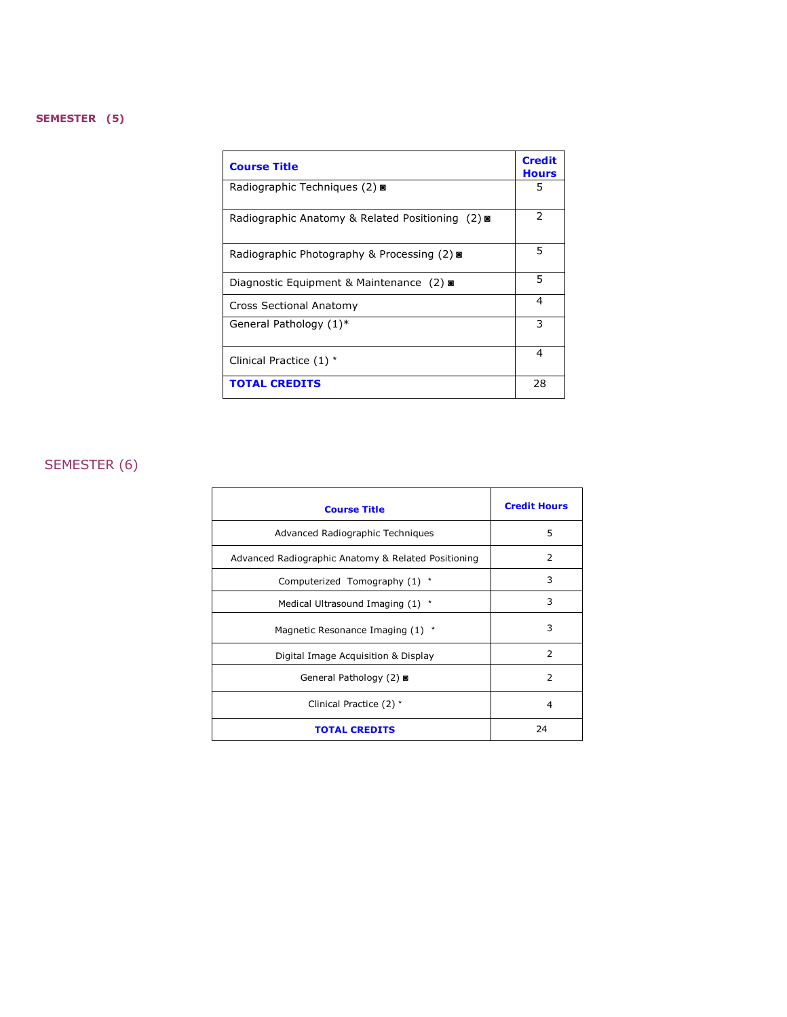### **SEMESTER (5)**

| <b>Course Title</b>                              | <b>Credit</b><br><b>Hours</b> |
|--------------------------------------------------|-------------------------------|
| Radiographic Techniques (2) <b>a</b>             | 5                             |
| Radiographic Anatomy & Related Positioning (2) ■ | 2                             |
| Radiographic Photography & Processing (2)        | 5                             |
| Diagnostic Equipment & Maintenance (2) ■         | 5                             |
| Cross Sectional Anatomy                          | $\overline{4}$                |
| General Pathology (1)*                           | 3                             |
| Clinical Practice (1) *                          | 4                             |
| <b>TOTAL CREDITS</b>                             | 28                            |

# SEMESTER (6)

| <b>Course Title</b>                                 | <b>Credit Hours</b> |
|-----------------------------------------------------|---------------------|
| Advanced Radiographic Techniques                    | 5                   |
| Advanced Radiographic Anatomy & Related Positioning | 2                   |
| Computerized Tomography (1) *                       | 3                   |
| Medical Ultrasound Imaging (1) *                    | 3                   |
| Magnetic Resonance Imaging (1) *                    | 3                   |
| Digital Image Acquisition & Display                 | $\mathcal{P}$       |
| General Pathology (2) ■                             | $\overline{2}$      |
| Clinical Practice (2) *                             | $\overline{a}$      |
| <b>TOTAL CREDITS</b>                                | 24                  |